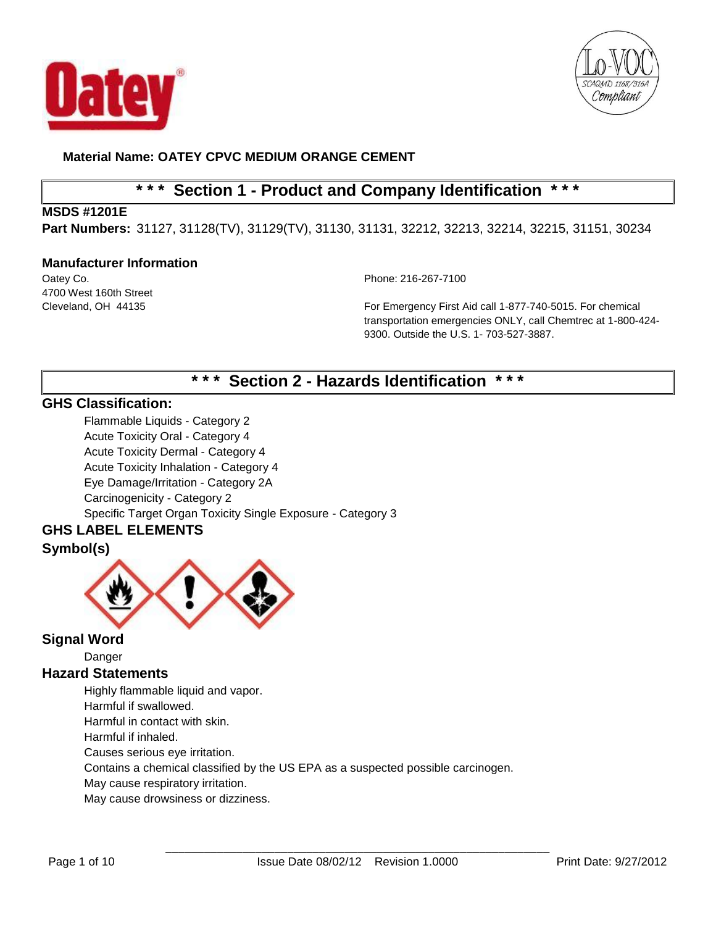



# **\* \* \* Section 1 - Product and Company Identification \* \* \***

## **MSDS #1201E**

**Part Numbers:** 31127, 31128(TV), 31129(TV), 31130, 31131, 32212, 32213, 32214, 32215, 31151, 30234

#### **Manufacturer Information**

4700 West 160th Street

Oatey Co. Phone: 216-267-7100

Cleveland, OH 44135 For Emergency First Aid call 1-877-740-5015. For chemical transportation emergencies ONLY, call Chemtrec at 1-800-424- 9300. Outside the U.S. 1- 703-527-3887.

# **\* \* \* Section 2 - Hazards Identification \* \* \***

## **GHS Classification:**

Flammable Liquids - Category 2 Acute Toxicity Oral - Category 4 Acute Toxicity Dermal - Category 4 Acute Toxicity Inhalation - Category 4 Eye Damage/Irritation - Category 2A Carcinogenicity - Category 2 Specific Target Organ Toxicity Single Exposure - Category 3

## **GHS LABEL ELEMENTS Symbol(s)**



## **Signal Word**

Danger

## **Hazard Statements**

Highly flammable liquid and vapor. Harmful if swallowed. Harmful in contact with skin.

Harmful if inhaled.

Causes serious eye irritation.

Contains a chemical classified by the US EPA as a suspected possible carcinogen.

May cause respiratory irritation.

May cause drowsiness or dizziness.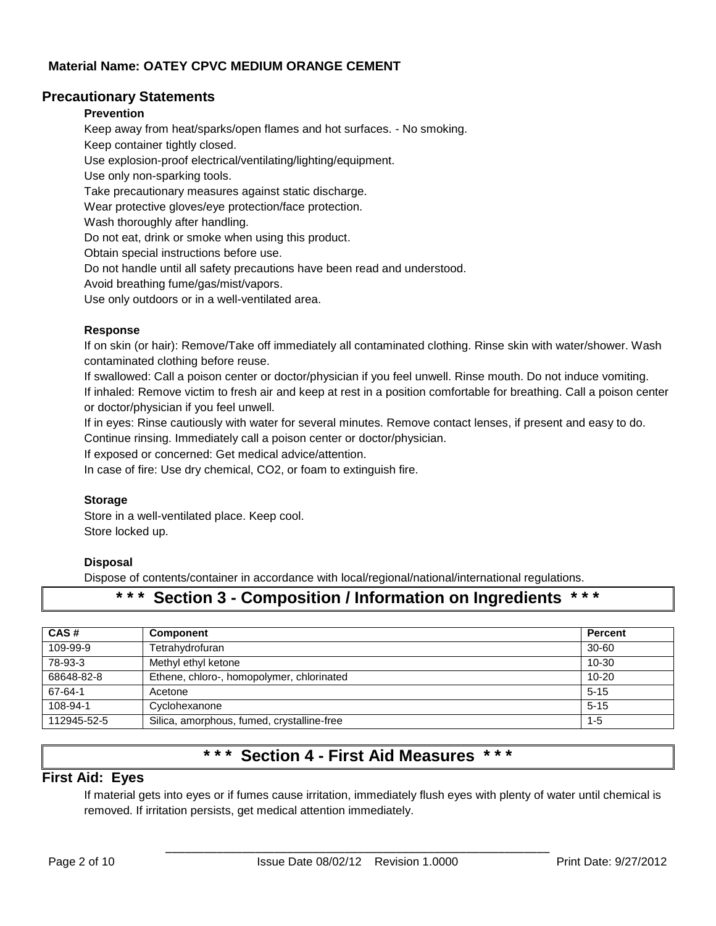## **Precautionary Statements**

#### **Prevention**

Keep away from heat/sparks/open flames and hot surfaces. - No smoking. Keep container tightly closed. Use explosion-proof electrical/ventilating/lighting/equipment. Use only non-sparking tools. Take precautionary measures against static discharge. Wear protective gloves/eye protection/face protection. Wash thoroughly after handling. Do not eat, drink or smoke when using this product. Obtain special instructions before use. Do not handle until all safety precautions have been read and understood. Avoid breathing fume/gas/mist/vapors.

Use only outdoors or in a well-ventilated area.

#### **Response**

If on skin (or hair): Remove/Take off immediately all contaminated clothing. Rinse skin with water/shower. Wash contaminated clothing before reuse.

If swallowed: Call a poison center or doctor/physician if you feel unwell. Rinse mouth. Do not induce vomiting. If inhaled: Remove victim to fresh air and keep at rest in a position comfortable for breathing. Call a poison center or doctor/physician if you feel unwell.

If in eyes: Rinse cautiously with water for several minutes. Remove contact lenses, if present and easy to do.

Continue rinsing. Immediately call a poison center or doctor/physician.

If exposed or concerned: Get medical advice/attention.

In case of fire: Use dry chemical, CO2, or foam to extinguish fire.

#### **Storage**

Store in a well-ventilated place. Keep cool. Store locked up.

#### **Disposal**

Dispose of contents/container in accordance with local/regional/national/international regulations.

## **\* \* \* Section 3 - Composition / Information on Ingredients \* \* \***

| CAS#        | <b>Component</b>                           | <b>Percent</b> |
|-------------|--------------------------------------------|----------------|
| 109-99-9    | Tetrahydrofuran                            | $30 - 60$      |
| 78-93-3     | Methyl ethyl ketone                        | 10-30          |
| 68648-82-8  | Ethene, chloro-, homopolymer, chlorinated  | $10 - 20$      |
| 67-64-1     | Acetone                                    | $5 - 15$       |
| 108-94-1    | Cyclohexanone                              | $5 - 15$       |
| 112945-52-5 | Silica, amorphous, fumed, crystalline-free | $1 - 5$        |

# **\* \* \* Section 4 - First Aid Measures \* \* \***

## **First Aid: Eyes**

If material gets into eyes or if fumes cause irritation, immediately flush eyes with plenty of water until chemical is removed. If irritation persists, get medical attention immediately.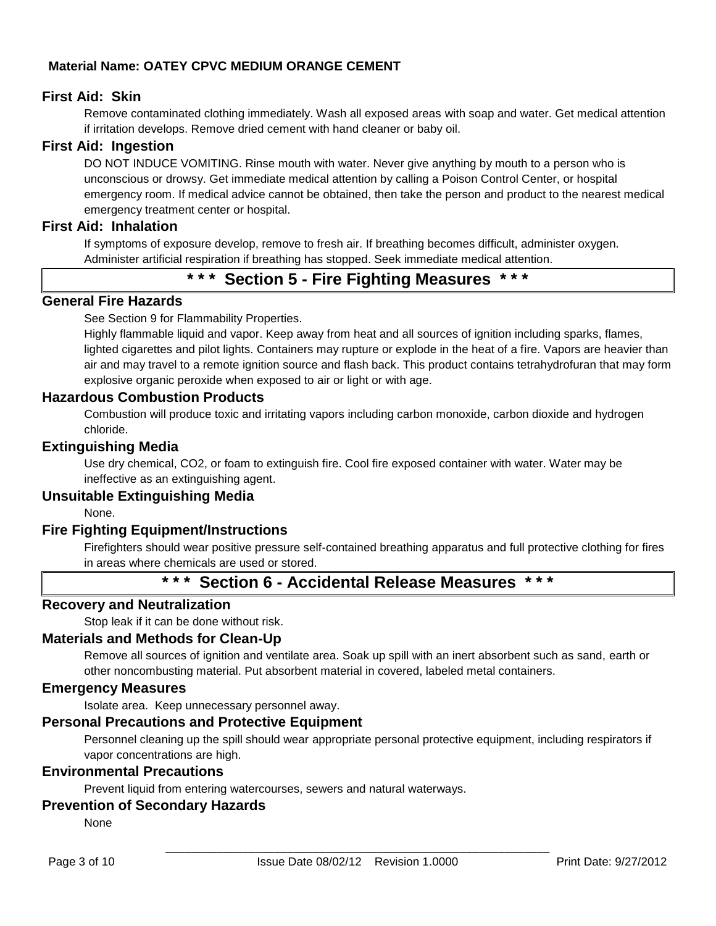## **First Aid: Skin**

Remove contaminated clothing immediately. Wash all exposed areas with soap and water. Get medical attention if irritation develops. Remove dried cement with hand cleaner or baby oil.

#### **First Aid: Ingestion**

DO NOT INDUCE VOMITING. Rinse mouth with water. Never give anything by mouth to a person who is unconscious or drowsy. Get immediate medical attention by calling a Poison Control Center, or hospital emergency room. If medical advice cannot be obtained, then take the person and product to the nearest medical emergency treatment center or hospital.

#### **First Aid: Inhalation**

If symptoms of exposure develop, remove to fresh air. If breathing becomes difficult, administer oxygen. Administer artificial respiration if breathing has stopped. Seek immediate medical attention.

# **\* \* \* Section 5 - Fire Fighting Measures \* \* \***

## **General Fire Hazards**

See Section 9 for Flammability Properties.

Highly flammable liquid and vapor. Keep away from heat and all sources of ignition including sparks, flames, lighted cigarettes and pilot lights. Containers may rupture or explode in the heat of a fire. Vapors are heavier than air and may travel to a remote ignition source and flash back. This product contains tetrahydrofuran that may form explosive organic peroxide when exposed to air or light or with age.

#### **Hazardous Combustion Products**

Combustion will produce toxic and irritating vapors including carbon monoxide, carbon dioxide and hydrogen chloride.

#### **Extinguishing Media**

Use dry chemical, CO2, or foam to extinguish fire. Cool fire exposed container with water. Water may be ineffective as an extinguishing agent.

## **Unsuitable Extinguishing Media**

None.

## **Fire Fighting Equipment/Instructions**

Firefighters should wear positive pressure self-contained breathing apparatus and full protective clothing for fires in areas where chemicals are used or stored.

## **\* \* \* Section 6 - Accidental Release Measures \* \* \***

#### **Recovery and Neutralization**

Stop leak if it can be done without risk.

#### **Materials and Methods for Clean-Up**

Remove all sources of ignition and ventilate area. Soak up spill with an inert absorbent such as sand, earth or other noncombusting material. Put absorbent material in covered, labeled metal containers.

#### **Emergency Measures**

Isolate area. Keep unnecessary personnel away.

#### **Personal Precautions and Protective Equipment**

Personnel cleaning up the spill should wear appropriate personal protective equipment, including respirators if vapor concentrations are high.

## **Environmental Precautions**

Prevent liquid from entering watercourses, sewers and natural waterways.

## **Prevention of Secondary Hazards**

None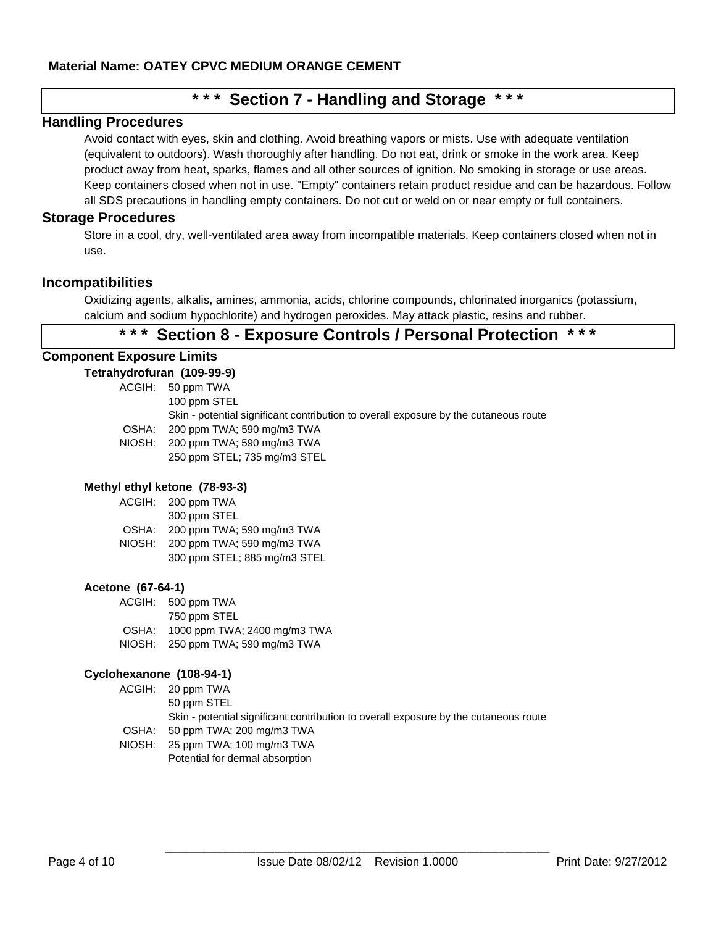# **\* \* \* Section 7 - Handling and Storage \* \* \***

#### **Handling Procedures**

Avoid contact with eyes, skin and clothing. Avoid breathing vapors or mists. Use with adequate ventilation (equivalent to outdoors). Wash thoroughly after handling. Do not eat, drink or smoke in the work area. Keep product away from heat, sparks, flames and all other sources of ignition. No smoking in storage or use areas. Keep containers closed when not in use. "Empty" containers retain product residue and can be hazardous. Follow all SDS precautions in handling empty containers. Do not cut or weld on or near empty or full containers.

#### **Storage Procedures**

Store in a cool, dry, well-ventilated area away from incompatible materials. Keep containers closed when not in use.

#### **Incompatibilities**

Oxidizing agents, alkalis, amines, ammonia, acids, chlorine compounds, chlorinated inorganics (potassium, calcium and sodium hypochlorite) and hydrogen peroxides. May attack plastic, resins and rubber.

# **\* \* \* Section 8 - Exposure Controls / Personal Protection \* \* \***

#### **Component Exposure Limits**

#### **Tetrahydrofuran (109-99-9)**

|       | ACGIH: 50 ppm TWA                                                                    |
|-------|--------------------------------------------------------------------------------------|
|       | 100 ppm STEL                                                                         |
|       | Skin - potential significant contribution to overall exposure by the cutaneous route |
| OSHA: | 200 ppm TWA; 590 mg/m3 TWA                                                           |
|       | NIOSH: 200 ppm TWA; 590 mg/m3 TWA                                                    |
|       | 250 ppm STEL; 735 mg/m3 STEL                                                         |
|       |                                                                                      |

#### **Methyl ethyl ketone (78-93-3)**

|        | ACGIH: 200 ppm TWA           |
|--------|------------------------------|
|        | 300 ppm STEL                 |
| OSHA:  | 200 ppm TWA; 590 mg/m3 TWA   |
| NIOSH: | 200 ppm TWA; 590 mg/m3 TWA   |
|        | 300 ppm STEL; 885 mg/m3 STEL |

#### **Acetone (67-64-1)**

| ACGIH: | 500 ppm TWA                  |
|--------|------------------------------|
|        | 750 ppm STEL                 |
| OSHA:  | 1000 ppm TWA; 2400 mg/m3 TWA |
| NIOSH: | 250 ppm TWA; 590 mg/m3 TWA   |

Potential for dermal absorption

#### **Cyclohexanone (108-94-1)**

| ACGIH: 20 ppm TWA                                                                    |
|--------------------------------------------------------------------------------------|
| 50 ppm STEL                                                                          |
| Skin - potential significant contribution to overall exposure by the cutaneous route |
| OSHA: 50 ppm TWA; 200 mg/m3 TWA                                                      |
| NIOSH: 25 ppm TWA; 100 mg/m3 TWA                                                     |
|                                                                                      |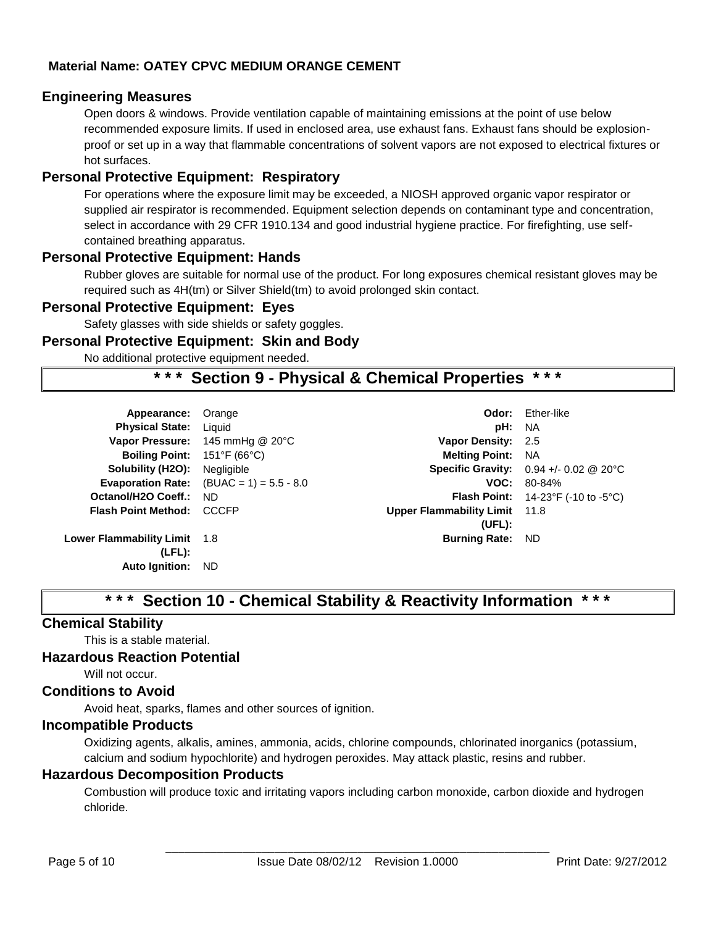## **Engineering Measures**

Open doors & windows. Provide ventilation capable of maintaining emissions at the point of use below recommended exposure limits. If used in enclosed area, use exhaust fans. Exhaust fans should be explosionproof or set up in a way that flammable concentrations of solvent vapors are not exposed to electrical fixtures or hot surfaces.

## **Personal Protective Equipment: Respiratory**

For operations where the exposure limit may be exceeded, a NIOSH approved organic vapor respirator or supplied air respirator is recommended. Equipment selection depends on contaminant type and concentration, select in accordance with 29 CFR 1910.134 and good industrial hygiene practice. For firefighting, use selfcontained breathing apparatus.

## **Personal Protective Equipment: Hands**

Rubber gloves are suitable for normal use of the product. For long exposures chemical resistant gloves may be required such as 4H(tm) or Silver Shield(tm) to avoid prolonged skin contact.

## **Personal Protective Equipment: Eyes**

Safety glasses with side shields or safety goggles.

#### **Personal Protective Equipment: Skin and Body**

No additional protective equipment needed.

# **\* \* \* Section 9 - Physical & Chemical Properties \* \* \***

| Appearance:                  | Orange                                            | Odor:                                | Ether-like                                                    |
|------------------------------|---------------------------------------------------|--------------------------------------|---------------------------------------------------------------|
| <b>Physical State:</b>       | Liquid                                            | pH:                                  | NA.                                                           |
| <b>Vapor Pressure:</b>       | 145 mmHg @ 20°C                                   | Vapor Density: 2.5                   |                                                               |
| <b>Boiling Point:</b>        | 151°F (66°C)                                      | <b>Melting Point: NA</b>             |                                                               |
| Solubility (H2O):            | Negligible                                        |                                      | <b>Specific Gravity:</b> $0.94 +/- 0.02$ @ 20 °C              |
|                              | <b>Evaporation Rate:</b> $(BUAC = 1) = 5.5 - 8.0$ |                                      | $VOC: 80-84%$                                                 |
| Octanol/H2O Coeff.:          | ND.                                               |                                      | <b>Flash Point:</b> $14-23^{\circ}F$ (-10 to -5 $^{\circ}C$ ) |
| <b>Flash Point Method:</b>   | CCCFP                                             | <b>Upper Flammability Limit</b> 11.8 |                                                               |
|                              |                                                   | (UEL):                               |                                                               |
| Lower Flammability Limit 1.8 |                                                   | <b>Burning Rate:</b>                 | ND.                                                           |
| $(LFL)$ :                    |                                                   |                                      |                                                               |
| <b>Auto Ignition:</b>        | ND.                                               |                                      |                                                               |
|                              |                                                   |                                      |                                                               |

# **\* \* \* Section 10 - Chemical Stability & Reactivity Information \* \* \***

## **Chemical Stability**

This is a stable material.

#### **Hazardous Reaction Potential**

Will not occur.

## **Conditions to Avoid**

Avoid heat, sparks, flames and other sources of ignition.

## **Incompatible Products**

Oxidizing agents, alkalis, amines, ammonia, acids, chlorine compounds, chlorinated inorganics (potassium, calcium and sodium hypochlorite) and hydrogen peroxides. May attack plastic, resins and rubber.

## **Hazardous Decomposition Products**

Combustion will produce toxic and irritating vapors including carbon monoxide, carbon dioxide and hydrogen chloride.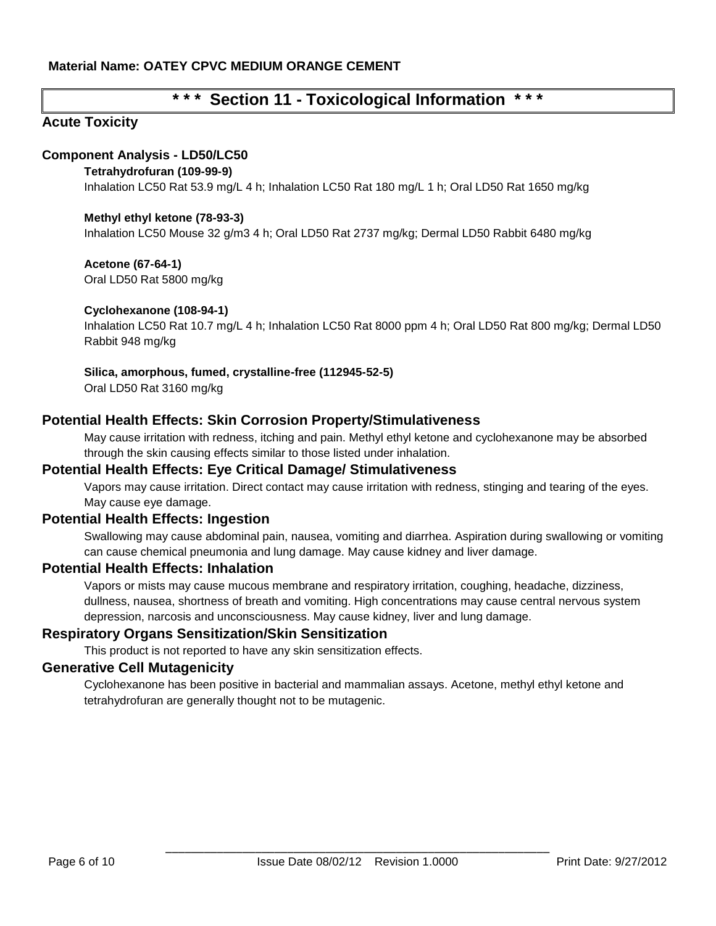# **\* \* \* Section 11 - Toxicological Information \* \* \***

## **Acute Toxicity**

## **Component Analysis - LD50/LC50**

#### **Tetrahydrofuran (109-99-9)**

Inhalation LC50 Rat 53.9 mg/L 4 h; Inhalation LC50 Rat 180 mg/L 1 h; Oral LD50 Rat 1650 mg/kg

#### **Methyl ethyl ketone (78-93-3)**

Inhalation LC50 Mouse 32 g/m3 4 h; Oral LD50 Rat 2737 mg/kg; Dermal LD50 Rabbit 6480 mg/kg

**Acetone (67-64-1)**

Oral LD50 Rat 5800 mg/kg

#### **Cyclohexanone (108-94-1)**

Inhalation LC50 Rat 10.7 mg/L 4 h; Inhalation LC50 Rat 8000 ppm 4 h; Oral LD50 Rat 800 mg/kg; Dermal LD50 Rabbit 948 mg/kg

#### **Silica, amorphous, fumed, crystalline-free (112945-52-5)**

Oral LD50 Rat 3160 mg/kg

## **Potential Health Effects: Skin Corrosion Property/Stimulativeness**

May cause irritation with redness, itching and pain. Methyl ethyl ketone and cyclohexanone may be absorbed through the skin causing effects similar to those listed under inhalation.

## **Potential Health Effects: Eye Critical Damage/ Stimulativeness**

Vapors may cause irritation. Direct contact may cause irritation with redness, stinging and tearing of the eyes. May cause eye damage.

## **Potential Health Effects: Ingestion**

Swallowing may cause abdominal pain, nausea, vomiting and diarrhea. Aspiration during swallowing or vomiting can cause chemical pneumonia and lung damage. May cause kidney and liver damage.

## **Potential Health Effects: Inhalation**

Vapors or mists may cause mucous membrane and respiratory irritation, coughing, headache, dizziness, dullness, nausea, shortness of breath and vomiting. High concentrations may cause central nervous system depression, narcosis and unconsciousness. May cause kidney, liver and lung damage.

#### **Respiratory Organs Sensitization/Skin Sensitization**

This product is not reported to have any skin sensitization effects.

#### **Generative Cell Mutagenicity**

Cyclohexanone has been positive in bacterial and mammalian assays. Acetone, methyl ethyl ketone and tetrahydrofuran are generally thought not to be mutagenic.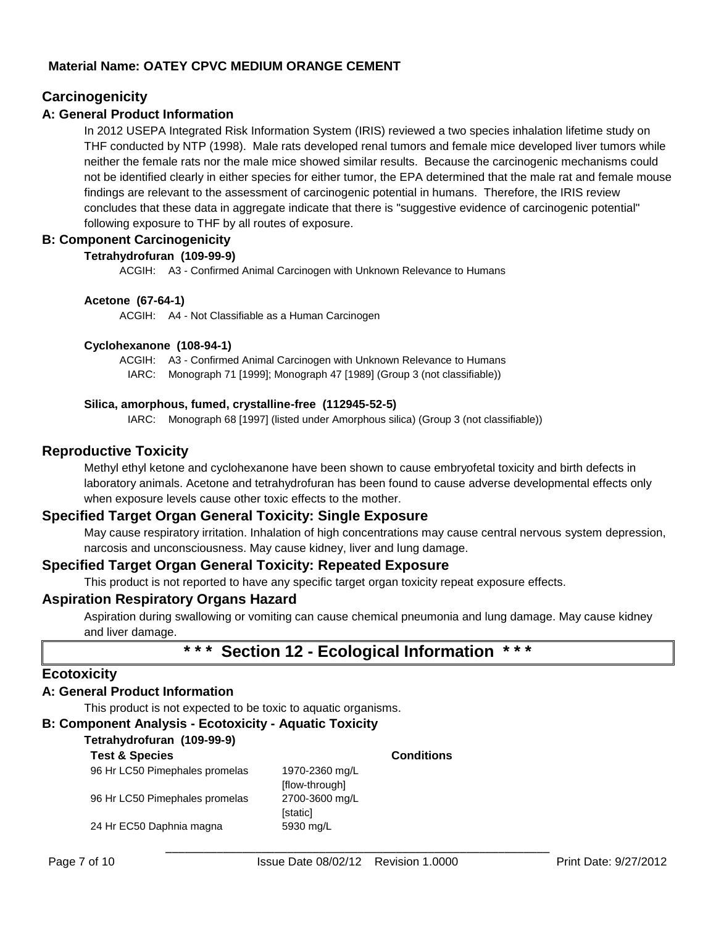## **Carcinogenicity**

#### **A: General Product Information**

In 2012 USEPA Integrated Risk Information System (IRIS) reviewed a two species inhalation lifetime study on THF conducted by NTP (1998). Male rats developed renal tumors and female mice developed liver tumors while neither the female rats nor the male mice showed similar results. Because the carcinogenic mechanisms could not be identified clearly in either species for either tumor, the EPA determined that the male rat and female mouse findings are relevant to the assessment of carcinogenic potential in humans. Therefore, the IRIS review concludes that these data in aggregate indicate that there is "suggestive evidence of carcinogenic potential" following exposure to THF by all routes of exposure.

#### **B: Component Carcinogenicity**

#### **Tetrahydrofuran (109-99-9)**

ACGIH: A3 - Confirmed Animal Carcinogen with Unknown Relevance to Humans

#### **Acetone (67-64-1)**

ACGIH: A4 - Not Classifiable as a Human Carcinogen

#### **Cyclohexanone (108-94-1)**

ACGIH: A3 - Confirmed Animal Carcinogen with Unknown Relevance to Humans

IARC: Monograph 71 [1999]; Monograph 47 [1989] (Group 3 (not classifiable))

#### **Silica, amorphous, fumed, crystalline-free (112945-52-5)**

IARC: Monograph 68 [1997] (listed under Amorphous silica) (Group 3 (not classifiable))

## **Reproductive Toxicity**

Methyl ethyl ketone and cyclohexanone have been shown to cause embryofetal toxicity and birth defects in laboratory animals. Acetone and tetrahydrofuran has been found to cause adverse developmental effects only when exposure levels cause other toxic effects to the mother.

## **Specified Target Organ General Toxicity: Single Exposure**

May cause respiratory irritation. Inhalation of high concentrations may cause central nervous system depression, narcosis and unconsciousness. May cause kidney, liver and lung damage.

## **Specified Target Organ General Toxicity: Repeated Exposure**

This product is not reported to have any specific target organ toxicity repeat exposure effects.

#### **Aspiration Respiratory Organs Hazard**

Aspiration during swallowing or vomiting can cause chemical pneumonia and lung damage. May cause kidney and liver damage.

# **\* \* \* Section 12 - Ecological Information \* \* \***

## **Ecotoxicity**

## **A: General Product Information**

This product is not expected to be toxic to aquatic organisms.

## **B: Component Analysis - Ecotoxicity - Aquatic Toxicity**

#### **Tetrahydrofuran (109-99-9)**

#### **Test & Species Conditions** 96 Hr LC50 Pimephales promelas 1970-2360 mg/L [flow-through] 96 Hr LC50 Pimephales promelas 2700-3600 mg/L [static] 24 Hr EC50 Daphnia magna 5930 mg/L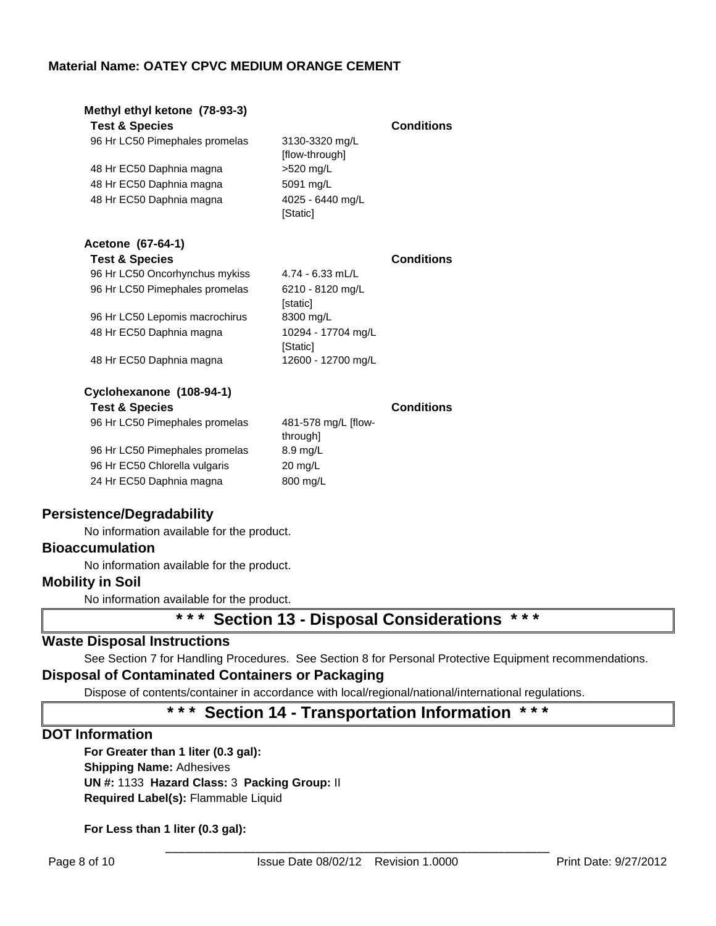| Methyl ethyl ketone (78-93-3)<br><b>Test &amp; Species</b><br>96 Hr LC50 Pimephales promelas<br>48 Hr EC50 Daphnia magna<br>48 Hr EC50 Daphnia magna<br>48 Hr EC50 Daphnia magna                             | 3130-3320 mg/L<br>[flow-through]<br>>520 mg/L<br>5091 mg/L<br>4025 - 6440 mg/L<br>[Static]                              | <b>Conditions</b> |
|--------------------------------------------------------------------------------------------------------------------------------------------------------------------------------------------------------------|-------------------------------------------------------------------------------------------------------------------------|-------------------|
| Acetone (67-64-1)<br><b>Test &amp; Species</b><br>96 Hr LC50 Oncorhynchus mykiss<br>96 Hr LC50 Pimephales promelas<br>96 Hr LC50 Lepomis macrochirus<br>48 Hr EC50 Daphnia magna<br>48 Hr EC50 Daphnia magna | $4.74 - 6.33$ mL/L<br>6210 - 8120 mg/L<br>[static]<br>8300 mg/L<br>10294 - 17704 mg/L<br>[Static]<br>12600 - 12700 mg/L | <b>Conditions</b> |
| Cyclohexanone (108-94-1)<br><b>Test &amp; Species</b><br>96 Hr LC50 Pimephales promelas<br>96 Hr LC50 Pimephales promelas<br>96 Hr EC50 Chlorella vulgaris<br>24 Hr EC50 Daphnia magna                       | 481-578 mg/L [flow-<br>through]<br>8.9 mg/L<br>$20 \text{ mg/L}$<br>800 mg/L                                            | <b>Conditions</b> |

## **Persistence/Degradability**

No information available for the product.

## **Bioaccumulation**

No information available for the product.

## **Mobility in Soil**

No information available for the product.

# **\* \* \* Section 13 - Disposal Considerations \* \* \***

## **Waste Disposal Instructions**

See Section 7 for Handling Procedures. See Section 8 for Personal Protective Equipment recommendations.

## **Disposal of Contaminated Containers or Packaging**

Dispose of contents/container in accordance with local/regional/national/international regulations.

## **\* \* \* Section 14 - Transportation Information \* \* \***

## **DOT Information**

**For Greater than 1 liter (0.3 gal): Shipping Name:** Adhesives **UN #:** 1133 **Hazard Class:** 3 **Packing Group:** II **Required Label(s):** Flammable Liquid

**For Less than 1 liter (0.3 gal):**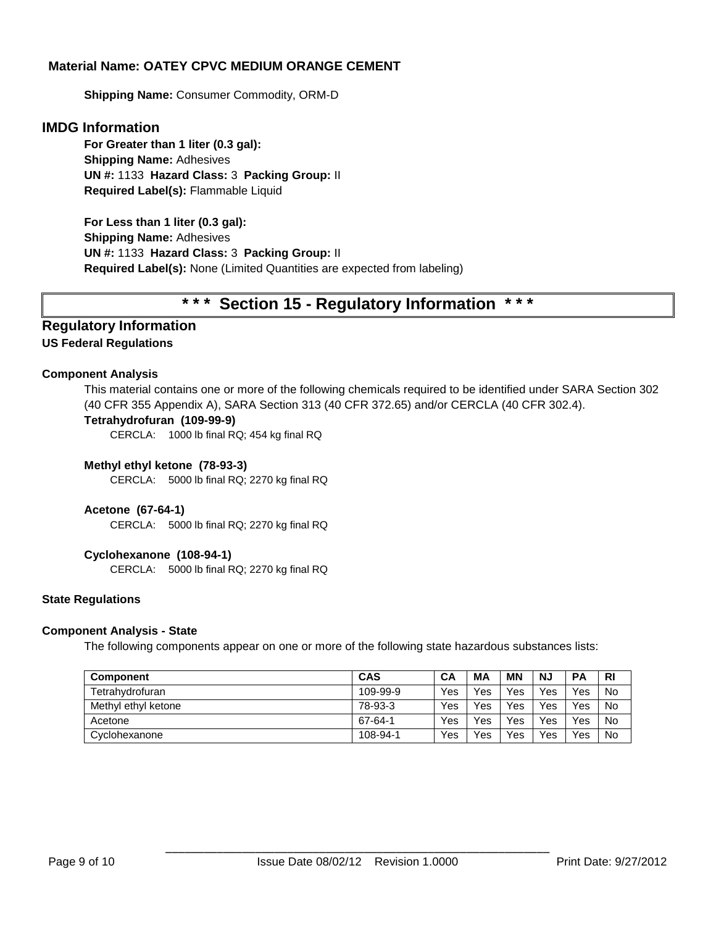**Shipping Name:** Consumer Commodity, ORM-D

#### **IMDG Information**

**For Greater than 1 liter (0.3 gal): Shipping Name:** Adhesives **UN #:** 1133 **Hazard Class:** 3 **Packing Group:** II **Required Label(s):** Flammable Liquid

**For Less than 1 liter (0.3 gal): Shipping Name:** Adhesives **UN #:** 1133 **Hazard Class:** 3 **Packing Group:** II **Required Label(s):** None (Limited Quantities are expected from labeling)

# **\* \* \* Section 15 - Regulatory Information \* \* \***

# **Regulatory Information**

#### **US Federal Regulations**

#### **Component Analysis**

This material contains one or more of the following chemicals required to be identified under SARA Section 302 (40 CFR 355 Appendix A), SARA Section 313 (40 CFR 372.65) and/or CERCLA (40 CFR 302.4).

#### **Tetrahydrofuran (109-99-9)**

CERCLA: 1000 lb final RQ; 454 kg final RQ

#### **Methyl ethyl ketone (78-93-3)**

CERCLA: 5000 lb final RQ; 2270 kg final RQ

#### **Acetone (67-64-1)**

CERCLA: 5000 lb final RQ; 2270 kg final RQ

#### **Cyclohexanone (108-94-1)**

CERCLA: 5000 lb final RQ; 2270 kg final RQ

#### **State Regulations**

#### **Component Analysis - State**

The following components appear on one or more of the following state hazardous substances lists:

| <b>Component</b>    | CAS      | СA  | MА  | MN  | <b>NJ</b> | <b>PA</b> | <b>RI</b> |
|---------------------|----------|-----|-----|-----|-----------|-----------|-----------|
| Tetrahydrofuran     | 109-99-9 | Yes | Yes | Yes | Yes       | Yes       | No        |
| Methyl ethyl ketone | 78-93-3  | Yes | Yes | Yes | Yes       | Yes       | No        |
| Acetone             | 67-64-1  | Yes | Yes | Yes | Yes       | Yes       | No        |
| Cyclohexanone       | 108-94-1 | Yes | Yes | Yes | Yes       | Yes       | No        |